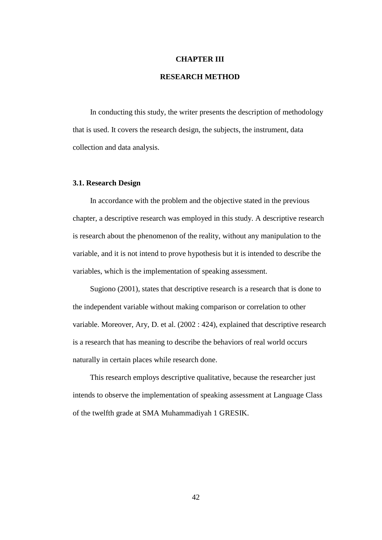#### **CHAPTER III**

# **RESEARCH METHOD**

In conducting this study, the writer presents the description of methodology that is used. It covers the research design, the subjects, the instrument, data collection and data analysis.

### **3.1. Research Design**

In accordance with the problem and the objective stated in the previous chapter, a descriptive research was employed in this study. A descriptive research is research about the phenomenon of the reality, without any manipulation to the variable, and it is not intend to prove hypothesis but it is intended to describe the variables, which is the implementation of speaking assessment.

Sugiono (2001), states that descriptive research is a research that is done to the independent variable without making comparison or correlation to other variable. Moreover, Ary, D. et al. (2002 : 424), explained that descriptive research is a research that has meaning to describe the behaviors of real world occurs naturally in certain places while research done.

This research employs descriptive qualitative, because the researcher just intends to observe the implementation of speaking assessment at Language Class of the twelfth grade at SMA Muhammadiyah 1 GRESIK.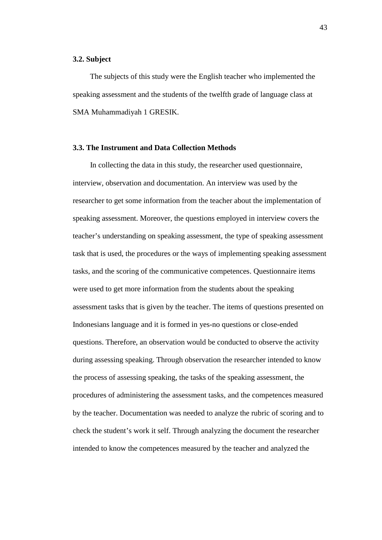#### **3.2. Subject**

The subjects of this study were the English teacher who implemented the speaking assessment and the students of the twelfth grade of language class at SMA Muhammadiyah 1 GRESIK.

### **3.3. The Instrument and Data Collection Methods**

In collecting the data in this study, the researcher used questionnaire, interview, observation and documentation. An interview was used by the researcher to get some information from the teacher about the implementation of speaking assessment. Moreover, the questions employed in interview covers the teacher's understanding on speaking assessment, the type of speaking assessment task that is used, the procedures or the ways of implementing speaking assessment tasks, and the scoring of the communicative competences. Questionnaire items were used to get more information from the students about the speaking assessment tasks that is given by the teacher. The items of questions presented on Indonesians language and it is formed in yes-no questions or close-ended questions. Therefore, an observation would be conducted to observe the activity during assessing speaking. Through observation the researcher intended to know the process of assessing speaking, the tasks of the speaking assessment, the procedures of administering the assessment tasks, and the competences measured by the teacher. Documentation was needed to analyze the rubric of scoring and to check the student's work it self. Through analyzing the document the researcher intended to know the competences measured by the teacher and analyzed the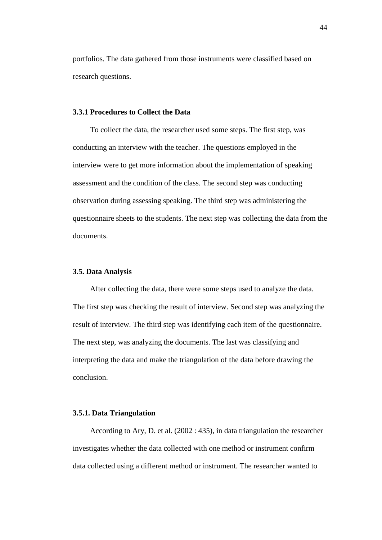portfolios. The data gathered from those instruments were classified based on research questions.

# **3.3.1 Procedures to Collect the Data**

To collect the data, the researcher used some steps. The first step, was conducting an interview with the teacher. The questions employed in the interview were to get more information about the implementation of speaking assessment and the condition of the class. The second step was conducting observation during assessing speaking. The third step was administering the questionnaire sheets to the students. The next step was collecting the data from the documents.

### **3.5. Data Analysis**

After collecting the data, there were some steps used to analyze the data. The first step was checking the result of interview. Second step was analyzing the result of interview. The third step was identifying each item of the questionnaire. The next step, was analyzing the documents. The last was classifying and interpreting the data and make the triangulation of the data before drawing the conclusion.

### **3.5.1. Data Triangulation**

According to Ary, D. et al. (2002 : 435), in data triangulation the researcher investigates whether the data collected with one method or instrument confirm data collected using a different method or instrument. The researcher wanted to